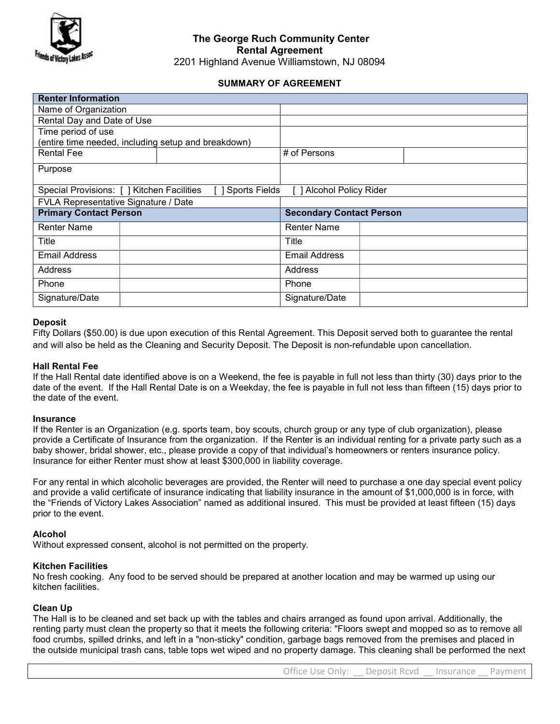

## The George Ruch Community Center Rental Agreement

2201 Highland Avenue Williamstown, NJ 08094

## SUMMARY OF AGREEMENT

| (entire time needed, including setup and breakdown) |                      |                                 |                               |
|-----------------------------------------------------|----------------------|---------------------------------|-------------------------------|
|                                                     | # of Persons         |                                 |                               |
|                                                     |                      |                                 |                               |
|                                                     |                      |                                 |                               |
| Special Provisions: [ ] Kitchen Facilities          |                      |                                 |                               |
| FVLA Representative Signature / Date                |                      |                                 |                               |
| <b>Primary Contact Person</b>                       |                      | <b>Secondary Contact Person</b> |                               |
|                                                     | <b>Renter Name</b>   |                                 |                               |
|                                                     | Title                |                                 |                               |
|                                                     | <b>Email Address</b> |                                 |                               |
|                                                     | Address              |                                 |                               |
|                                                     | Phone                |                                 |                               |
|                                                     | Signature/Date       |                                 |                               |
|                                                     |                      | <b>Sports Fields</b>            | <b>1 Alcohol Policy Rider</b> |

## **Deposit**

Fifty Dollars (\$50.00) is due upon execution of this Rental Agreement. This Deposit served both to guarantee the rental and will also be held as the Cleaning and Security Deposit. The Deposit is non-refundable upon cancellation.

## Hall Rental Fee

If the Hall Rental date identified above is on a Weekend, the fee is payable in full not less than thirty (30) days prior to the date of the event. If the Hall Rental Date is on a Weekday, the fee is payable in full not less than fifteen (15) days prior to the date of the event.

## Insurance

If the Renter is an Organization (e.g. sports team, boy scouts, church group or any type of club organization), please provide a Certificate of Insurance from the organization. If the Renter is an individual renting for a private party such as a baby shower, bridal shower, etc., please provide a copy of that individual's homeowners or renters insurance policy. Insurance for either Renter must show at least \$300,000 in liability coverage.

For any rental in which alcoholic beverages are provided, the Renter will need to purchase a one day special event policy and provide a valid certificate of insurance indicating that liability insurance in the amount of \$1,000,000 is in force, with the "Friends of Victory Lakes Association" named as additional insured. This must be provided at least fifteen (15) days prior to the event.

## Alcohol

Without expressed consent, alcohol is not permitted on the property.

## Kitchen Facilities

No fresh cooking. Any food to be served should be prepared at another location and may be warmed up using our kitchen facilities.

## Clean Up

The Hall is to be cleaned and set back up with the tables and chairs arranged as found upon arrival. Additionally, the renting party must clean the property so that it meets the following criteria: "Floors swept and mopped so as to remove all food crumbs, spilled drinks, and left in a "non-sticky" condition, garbage bags removed from the premises and placed in the outside municipal trash cans, table tops wet wiped and no property damage. This cleaning shall be performed the next